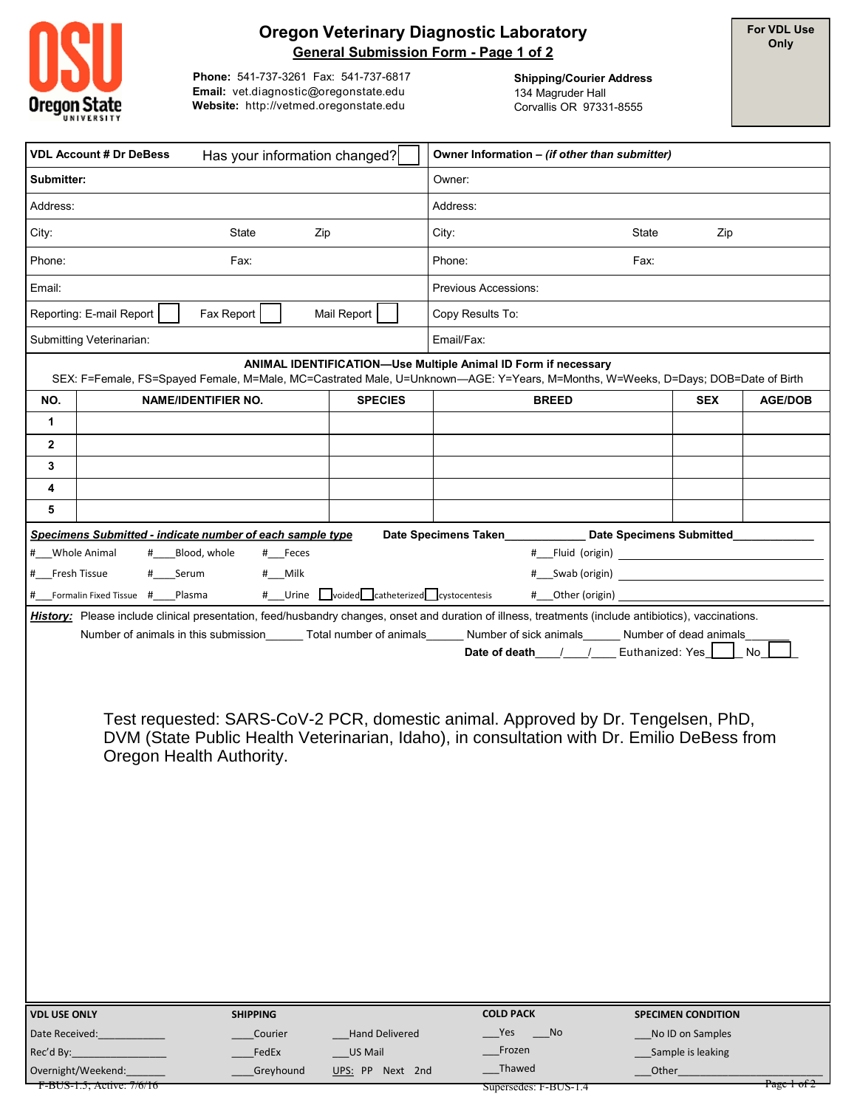

## **Oregon Veterinary Diagnostic Laboratory General Submission Form - Page 1 of 2**

**For VDL Use Only**

**Phone:** 541-737-3261 Fax: 541-737-6817 **Email:** vet.diagnostic@oregonstate.edu **Website:** http://vetmed.oregonstate.edu

**Shipping/Courier Address** 134 Magruder Hall Corvallis OR 97331-8555

| <b>VDL Account # Dr DeBess</b><br>Has your information changed?                                                                                                                                                                                                                                                                                                                                                                                                                                                                                     |                                  |                            | Owner Information - (if other than submitter) |                                                                                                                                                  |                           |                |  |  |
|-----------------------------------------------------------------------------------------------------------------------------------------------------------------------------------------------------------------------------------------------------------------------------------------------------------------------------------------------------------------------------------------------------------------------------------------------------------------------------------------------------------------------------------------------------|----------------------------------|----------------------------|-----------------------------------------------|--------------------------------------------------------------------------------------------------------------------------------------------------|---------------------------|----------------|--|--|
| Submitter:                                                                                                                                                                                                                                                                                                                                                                                                                                                                                                                                          |                                  |                            | Owner:                                        |                                                                                                                                                  |                           |                |  |  |
| Address:                                                                                                                                                                                                                                                                                                                                                                                                                                                                                                                                            |                                  |                            |                                               | Address:                                                                                                                                         |                           |                |  |  |
| City:                                                                                                                                                                                                                                                                                                                                                                                                                                                                                                                                               |                                  | State                      | Zip                                           | City:                                                                                                                                            | State<br>Zip              |                |  |  |
| Phone:<br>Fax:                                                                                                                                                                                                                                                                                                                                                                                                                                                                                                                                      |                                  |                            |                                               | Phone:                                                                                                                                           | Fax:                      |                |  |  |
| Email:                                                                                                                                                                                                                                                                                                                                                                                                                                                                                                                                              |                                  |                            |                                               | Previous Accessions:                                                                                                                             |                           |                |  |  |
| Reporting: E-mail Report<br>Fax Report<br>Mail Report                                                                                                                                                                                                                                                                                                                                                                                                                                                                                               |                                  |                            | Copy Results To:                              |                                                                                                                                                  |                           |                |  |  |
|                                                                                                                                                                                                                                                                                                                                                                                                                                                                                                                                                     | Submitting Veterinarian:         |                            |                                               | Email/Fax:                                                                                                                                       |                           |                |  |  |
|                                                                                                                                                                                                                                                                                                                                                                                                                                                                                                                                                     |                                  |                            |                                               | ANIMAL IDENTIFICATION-Use Multiple Animal ID Form if necessary                                                                                   |                           |                |  |  |
| NO.                                                                                                                                                                                                                                                                                                                                                                                                                                                                                                                                                 |                                  | <b>NAME/IDENTIFIER NO.</b> | <b>SPECIES</b>                                | SEX: F=Female, FS=Spayed Female, M=Male, MC=Castrated Male, U=Unknown-AGE: Y=Years, M=Months, W=Weeks, D=Days; DOB=Date of Birth<br><b>BREED</b> | <b>SEX</b>                | <b>AGE/DOB</b> |  |  |
| 1                                                                                                                                                                                                                                                                                                                                                                                                                                                                                                                                                   |                                  |                            |                                               |                                                                                                                                                  |                           |                |  |  |
| 2                                                                                                                                                                                                                                                                                                                                                                                                                                                                                                                                                   |                                  |                            |                                               |                                                                                                                                                  |                           |                |  |  |
| 3                                                                                                                                                                                                                                                                                                                                                                                                                                                                                                                                                   |                                  |                            |                                               |                                                                                                                                                  |                           |                |  |  |
| 4                                                                                                                                                                                                                                                                                                                                                                                                                                                                                                                                                   |                                  |                            |                                               |                                                                                                                                                  |                           |                |  |  |
| 5                                                                                                                                                                                                                                                                                                                                                                                                                                                                                                                                                   |                                  |                            |                                               |                                                                                                                                                  |                           |                |  |  |
| Date Specimens Submitted<br>Specimens Submitted - indicate number of each sample type<br>Date Specimens Taken<br># Whole Animal<br>_Blood, whole<br># Feces<br># Serum<br># Fresh Tissue<br>#__Milk                                                                                                                                                                                                                                                                                                                                                 |                                  |                            |                                               |                                                                                                                                                  |                           |                |  |  |
|                                                                                                                                                                                                                                                                                                                                                                                                                                                                                                                                                     | # Formalin Fixed Tissue # Plasma |                            | # Urine voided catheterized cystocentesis     | # Other (origin)                                                                                                                                 |                           |                |  |  |
| History: Please include clinical presentation, feed/husbandry changes, onset and duration of illness, treatments (include antibiotics), vaccinations.<br>Number of animals in this submission _______ Total number of animals _______ Number of sick animals ______ Number of dead animals<br>Date of death / / Euthanized: Yes<br>No<br>Test requested: SARS-CoV-2 PCR, domestic animal. Approved by Dr. Tengelsen, PhD,<br>DVM (State Public Health Veterinarian, Idaho), in consultation with Dr. Emilio DeBess from<br>Oregon Health Authority. |                                  |                            |                                               |                                                                                                                                                  |                           |                |  |  |
| <b>VDL USE ONLY</b>                                                                                                                                                                                                                                                                                                                                                                                                                                                                                                                                 |                                  | <b>SHIPPING</b>            |                                               | <b>COLD PACK</b>                                                                                                                                 | <b>SPECIMEN CONDITION</b> |                |  |  |
| Date Received:                                                                                                                                                                                                                                                                                                                                                                                                                                                                                                                                      |                                  | Courier                    | <b>Hand Delivered</b>                         | Yes<br>No                                                                                                                                        | No ID on Samples          |                |  |  |
| Rec'd By:                                                                                                                                                                                                                                                                                                                                                                                                                                                                                                                                           |                                  | FedEx                      | US Mail                                       | Frozen                                                                                                                                           | Sample is leaking         |                |  |  |
| Overnight/Weekend:                                                                                                                                                                                                                                                                                                                                                                                                                                                                                                                                  |                                  | Greyhound                  | UPS: PP Next 2nd                              | _Thawed                                                                                                                                          | Other                     |                |  |  |

Supersedes: F-BUS-1.4 Page 1 of 2